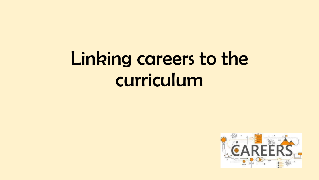# Linking careers to the curriculum

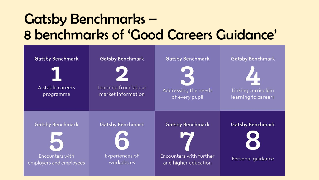### Gatsby Benchmarks – 8 benchmarks of 'Good Careers Guidance'

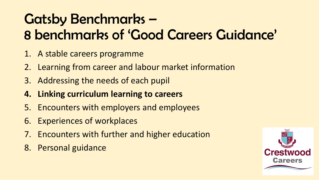## Gatsby Benchmarks – 8 benchmarks of 'Good Careers Guidance'

- 1. A stable careers programme
- 2. Learning from career and labour market information
- 3. Addressing the needs of each pupil
- **4. Linking curriculum learning to careers**
- 5. Encounters with employers and employees
- 6. Experiences of workplaces
- 7. Encounters with further and higher education
- 8. Personal guidance

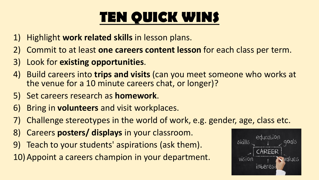# **TEN QUICK WINS**

- 1) Highlight **work related skills** in lesson plans.
- 2) Commit to at least **one careers content lesson** for each class per term.
- 3) Look for **existing opportunities**.
- 4) Build careers into **trips and visits** (can you meet someone who works at the venue for a 10 minute careers chat, or longer)?
- 5) Set careers research as **homework**.
- 6) Bring in **volunteers** and visit workplaces.
- 7) Challenge stereotypes in the world of work, e.g. gender, age, class etc.
- 8) Careers **posters/ displays** in your classroom.
- 9) Teach to your students' aspirations (ask them).
- 10)Appoint a careers champion in your department.

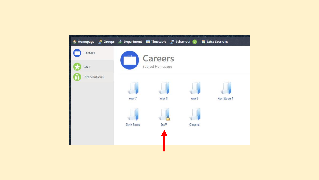| A Homepage & Groups : Department <b>III</b> Timetable & Behaviour 2 |            |                  |         | <b>E</b> Extra Sessions |  |
|---------------------------------------------------------------------|------------|------------------|---------|-------------------------|--|
| Careers                                                             |            | <b>Careers</b>   |         |                         |  |
| G&T                                                                 |            | Subject Homepage |         |                         |  |
| Interventions                                                       |            |                  |         |                         |  |
|                                                                     |            |                  |         |                         |  |
|                                                                     | Year 7     | Year 8           | Year 9  | Key Stage 4             |  |
|                                                                     |            |                  |         |                         |  |
|                                                                     | Sixth Form | Staff            | General |                         |  |
|                                                                     |            |                  |         |                         |  |
|                                                                     |            |                  |         |                         |  |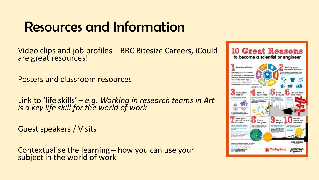### Resources and Information

Video clips and job profiles – BBC Bitesize Careers, iCould are great resources!

Posters and classroom resources

Link to 'life skills' – *e.g. Working in research teams in Art is a key life skill for the world of work*

Guest speakers / Visits

Contextualise the learning – how you can use your subject in the world of work

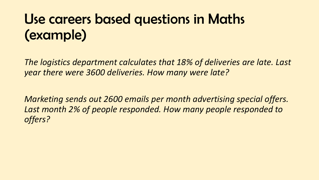### Use careers based questions in Maths (example)

*The logistics department calculates that 18% of deliveries are late. Last year there were 3600 deliveries. How many were late?*

*Marketing sends out 2600 emails per month advertising special offers.*  Last month 2% of people responded. How many people responded to *offers?*